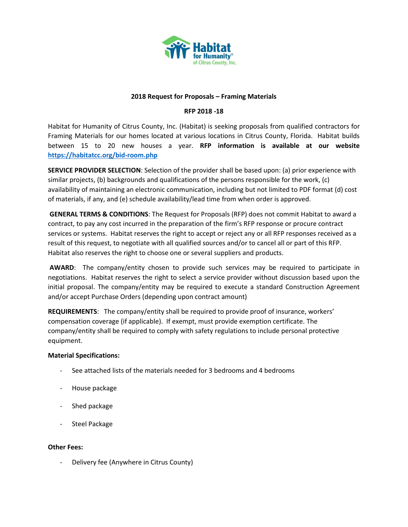

#### **2018 Request for Proposals – Framing Materials**

#### **RFP 2018 -18**

Habitat for Humanity of Citrus County, Inc. (Habitat) is seeking proposals from qualified contractors for Framing Materials for our homes located at various locations in Citrus County, Florida. Habitat builds between 15 to 20 new houses a year. **RFP information is available at our website <https://habitatcc.org/bid-room.php>**

**SERVICE PROVIDER SELECTION**: Selection of the provider shall be based upon: (a) prior experience with similar projects, (b) backgrounds and qualifications of the persons responsible for the work, (c) availability of maintaining an electronic communication, including but not limited to PDF format (d) cost of materials, if any, and (e) schedule availability/lead time from when order is approved.

**GENERAL TERMS & CONDITIONS**: The Request for Proposals (RFP) does not commit Habitat to award a contract, to pay any cost incurred in the preparation of the firm's RFP response or procure contract services or systems. Habitat reserves the right to accept or reject any or all RFP responses received as a result of this request, to negotiate with all qualified sources and/or to cancel all or part of this RFP. Habitat also reserves the right to choose one or several suppliers and products.

**AWARD**: The company/entity chosen to provide such services may be required to participate in negotiations. Habitat reserves the right to select a service provider without discussion based upon the initial proposal. The company/entity may be required to execute a standard Construction Agreement and/or accept Purchase Orders (depending upon contract amount)

**REQUIREMENTS**: The company/entity shall be required to provide proof of insurance, workers' compensation coverage (if applicable). If exempt, must provide exemption certificate. The company/entity shall be required to comply with safety regulations to include personal protective equipment.

#### **Material Specifications:**

- See attached lists of the materials needed for 3 bedrooms and 4 bedrooms
- House package
- Shed package
- Steel Package

#### **Other Fees:**

Delivery fee (Anywhere in Citrus County)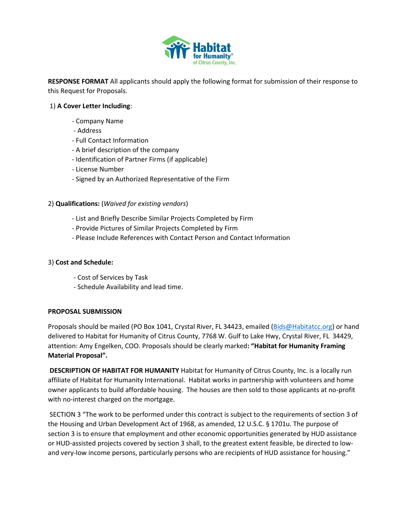

**RESPONSE FORMAT** All applicants should apply the following format for submission of their response to this Request for Proposals.

#### 1) **A Cover Letter Including**:

- Company Name
- Address
- Full Contact Information
- A brief description of the company
- Identification of Partner Firms (if applicable)
- License Number
- Signed by an Authorized Representative of the Firm

#### 2) **Qualifications:** (*Waived for existing vendors*)

- List and Briefly Describe Similar Projects Completed by Firm
- Provide Pictures of Similar Projects Completed by Firm
- Please Include References with Contact Person and Contact Information

#### 3) **Cost and Schedule:**

- Cost of Services by Task
- Schedule Availability and lead time.

#### **PROPOSAL SUBMISSION**

Proposals should be mailed (PO Box 1041, Crystal River, FL 34423, emailed [\(Bids@Habitatcc.org\)](mailto:Bids@Habitatcc.org) or hand delivered to Habitat for Humanity of Citrus County, 7768 W. Gulf to Lake Hwy, Crystal River, FL 34429, attention: Amy Engelken, COO. Proposals should be clearly marked**: "Habitat for Humanity Framing Material Proposal".** 

**DESCRIPTION OF HABITAT FOR HUMANITY** Habitat for Humanity of Citrus County, Inc. is a locally run affiliate of Habitat for Humanity International. Habitat works in partnership with volunteers and home owner applicants to build affordable housing. The houses are then sold to those applicants at no-profit with no-interest charged on the mortgage.

SECTION 3 "The work to be performed under this contract is subject to the requirements of section 3 of the Housing and Urban Development Act of 1968, as amended, 12 U.S.C. § 1701u. The purpose of section 3 is to ensure that employment and other economic opportunities generated by HUD assistance or HUD-assisted projects covered by section 3 shall, to the greatest extent feasible, be directed to lowand very-low income persons, particularly persons who are recipients of HUD assistance for housing."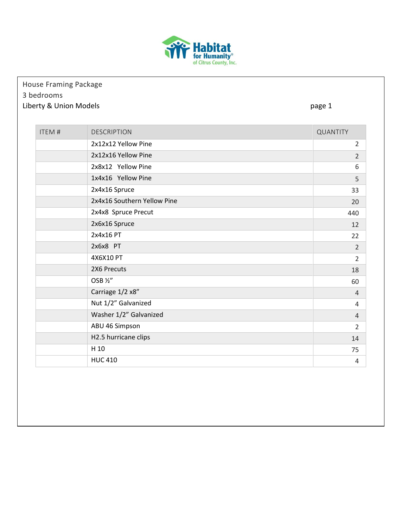

### House Framing Package 3 bedrooms Liberty & Union Models **page 1**

| <b>ITEM#</b> | <b>DESCRIPTION</b>          | QUANTITY       |
|--------------|-----------------------------|----------------|
|              | 2x12x12 Yellow Pine         | $\overline{2}$ |
|              | 2x12x16 Yellow Pine         | $\overline{2}$ |
|              | 2x8x12 Yellow Pine          | 6              |
|              | 1x4x16 Yellow Pine          | 5              |
|              | 2x4x16 Spruce               | 33             |
|              | 2x4x16 Southern Yellow Pine | 20             |
|              | 2x4x8 Spruce Precut         | 440            |
|              | 2x6x16 Spruce               | 12             |
|              | 2x4x16 PT                   | 22             |
|              | 2x6x8 PT                    | $\overline{2}$ |
|              | 4X6X10 PT                   | $\overline{2}$ |
|              | 2X6 Precuts                 | 18             |
|              | OSB 1/2"                    | 60             |
|              | Carriage 1/2 x8"            | $\overline{4}$ |
|              | Nut 1/2" Galvanized         | 4              |
|              | Washer 1/2" Galvanized      | $\overline{4}$ |
|              | ABU 46 Simpson              | $\overline{2}$ |
|              | H2.5 hurricane clips        | 14             |
|              | H 10                        | 75             |
|              | <b>HUC 410</b>              | 4              |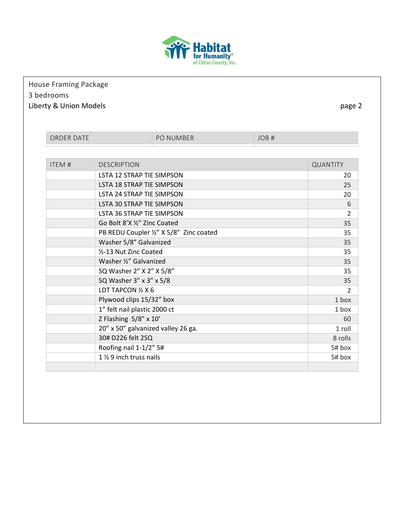

## House Framing Package 3 bedrooms Liberty & Union Models **page 2**

| <b>ORDER DATE</b> |                                    | <b>PO NUMBER</b>                        | JOR# |                 |
|-------------------|------------------------------------|-----------------------------------------|------|-----------------|
|                   |                                    |                                         |      |                 |
| <b>ITEM#</b>      | <b>DESCRIPTION</b>                 |                                         |      | <b>QUANTITY</b> |
|                   | <b>LSTA 12 STRAP TIE SIMPSON</b>   |                                         |      | 20              |
|                   | LSTA 18 STRAP TIE SIMPSON          |                                         |      | 25              |
|                   | LSTA 24 STRAP TIE SIMPSON          |                                         |      | 20              |
|                   | <b>LSTA 30 STRAP TIE SIMPSON</b>   |                                         |      | 6               |
|                   | LSTA 36 STRAP TIE SIMPSON          |                                         |      | 2               |
|                   | Go Bolt 8'X 1/2" Zinc Coated       |                                         |      | 35              |
|                   |                                    | PB REDU Coupler 1/2" X 5/8" Zinc coated |      | 35              |
|                   | Washer 5/8" Galvanized             |                                         |      | 35              |
|                   | 1/2-13 Nut Zinc Coated             |                                         |      | 35              |
|                   | Washer 1/2" Galvanized             |                                         |      | 35              |
|                   | SQ Washer 2" X 2" X 5/8"           |                                         |      | 35              |
|                   | SQ Washer 3" x 3" x 5/8            |                                         |      | 35              |
|                   | LDT TAPCON 1/2 X 6                 |                                         |      | $\mathcal{P}$   |
|                   | Plywood clips 15/32" box           |                                         |      | 1 box           |
|                   | 1" felt nail plastic 2000 ct       |                                         |      | $1$ hox         |
|                   | Z Flashing 5/8" x 10'              |                                         |      | 60              |
|                   | 20" x 50" galvanized valley 26 ga. |                                         |      | 1 roll          |
|                   | 30# D226 felt 2SQ                  |                                         |      | 8 rolls         |
|                   | Roofing nail 1-1/2" 5#             |                                         |      | 5# box          |
|                   | 1 % 9 inch truss nails             |                                         |      | 5# box          |
|                   |                                    |                                         |      |                 |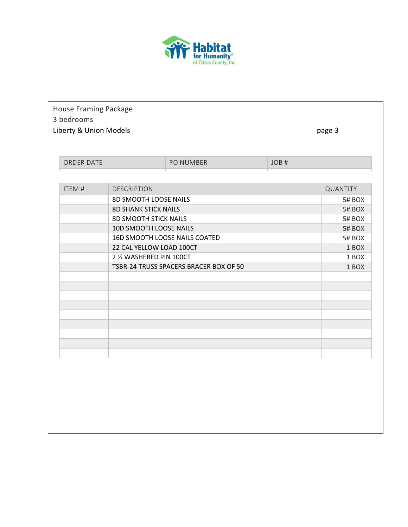

| House Framing Package<br>3 bedrooms<br>Liberty & Union Models |                              |                                        |      | page 3          |
|---------------------------------------------------------------|------------------------------|----------------------------------------|------|-----------------|
| ORDER DATE                                                    |                              | PO NUMBER                              | JOB# |                 |
|                                                               |                              |                                        |      |                 |
| <b>ITEM#</b>                                                  | <b>DESCRIPTION</b>           |                                        |      | <b>QUANTITY</b> |
|                                                               | 8D SMOOTH LOOSE NAILS        |                                        |      | 5# BOX          |
|                                                               | <b>8D SHANK STICK NAILS</b>  |                                        |      | 5# BOX          |
|                                                               | <b>8D SMOOTH STICK NAILS</b> |                                        |      | 5# BOX          |
|                                                               | 10D SMOOTH LOOSE NAILS       |                                        |      | 5# BOX          |
|                                                               |                              | 16D SMOOTH LOOSE NAILS COATED          |      | 5# BOX          |
|                                                               | 22 CAL YELLOW LOAD 100CT     |                                        |      | 1 BOX           |
|                                                               | 2 1/2 WASHERED PIN 100CT     |                                        |      | 1 BOX           |
|                                                               |                              | TSBR-24 TRUSS SPACERS BRACER BOX OF 50 |      | 1 BOX           |
|                                                               |                              |                                        |      |                 |
|                                                               |                              |                                        |      |                 |
|                                                               |                              |                                        |      |                 |
|                                                               |                              |                                        |      |                 |
|                                                               |                              |                                        |      |                 |
|                                                               |                              |                                        |      |                 |
|                                                               |                              |                                        |      |                 |
|                                                               |                              |                                        |      |                 |
|                                                               |                              |                                        |      |                 |
|                                                               |                              |                                        |      |                 |
|                                                               |                              |                                        |      |                 |
|                                                               |                              |                                        |      |                 |
|                                                               |                              |                                        |      |                 |
|                                                               |                              |                                        |      |                 |
|                                                               |                              |                                        |      |                 |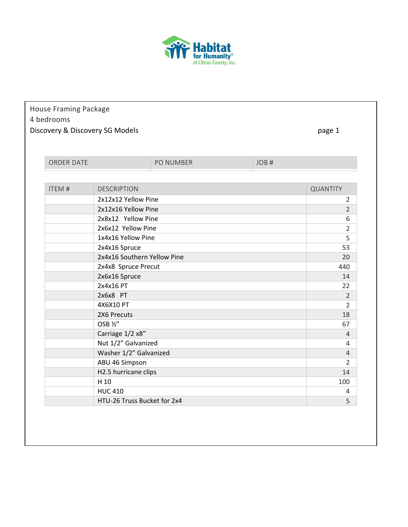

## House Framing Package 4 bedrooms Discovery & Discovery SG Models **page 1** and the page 1

| <b>ORDER DATE</b> |                             | <b>PO NUMBER</b> | JOB <sub>#</sub> |                |
|-------------------|-----------------------------|------------------|------------------|----------------|
|                   |                             |                  |                  |                |
| <b>ITEM#</b>      | <b>DESCRIPTION</b>          |                  |                  | QUANTITY       |
|                   | 2x12x12 Yellow Pine         |                  |                  | $\overline{2}$ |
|                   | 2x12x16 Yellow Pine         |                  |                  | $\overline{2}$ |
|                   | 2x8x12 Yellow Pine          |                  |                  | 6              |
|                   | 2x6x12 Yellow Pine          |                  |                  | $\overline{2}$ |
|                   | 1x4x16 Yellow Pine          |                  |                  | 5              |
|                   | 2x4x16 Spruce               |                  |                  | 53             |
|                   | 2x4x16 Southern Yellow Pine |                  |                  | 20             |
|                   | 2x4x8 Spruce Precut         |                  |                  | 440            |
|                   | 2x6x16 Spruce               |                  |                  | 14             |
|                   | 2x4x16 PT                   |                  |                  | 22             |
|                   | 2x6x8 PT                    |                  |                  | $\mathcal{L}$  |
|                   | 4X6X10 PT                   |                  |                  | $\overline{2}$ |
|                   | 2X6 Precuts                 |                  |                  | 18             |
|                   | OSB 1/2"                    |                  |                  | 67             |
|                   | Carriage 1/2 x8"            |                  |                  | $\overline{4}$ |
|                   | Nut 1/2" Galvanized         |                  |                  | 4              |
|                   | Washer 1/2" Galvanized      |                  |                  | $\overline{4}$ |
|                   | ABU 46 Simpson              |                  |                  | $\overline{2}$ |
|                   | H2.5 hurricane clips        |                  |                  | 14             |
|                   | H 10                        |                  |                  | 100            |
|                   | <b>HUC 410</b>              |                  |                  | 4              |
|                   | HTU-26 Truss Bucket for 2x4 |                  |                  | 5              |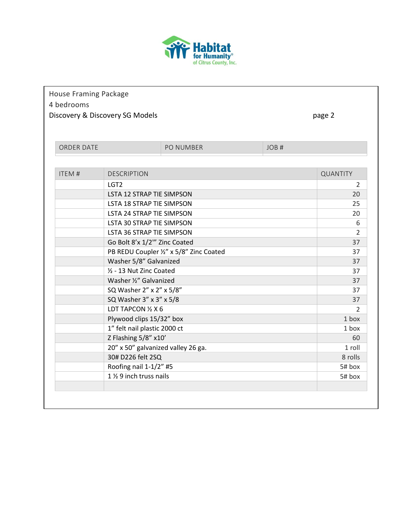

# House Framing Package

## 4 bedrooms

Discovery & Discovery SG Models and the control of the page 2 page 2

| <b>DESCRIPTION</b><br><b>LSTA 12 STRAP TIE SIMPSON</b><br>LSTA 18 STRAP TIE SIMPSON<br>LSTA 24 STRAP TIE SIMPSON<br>LSTA 30 STRAP TIE SIMPSON<br>LSTA 36 STRAP TIE SIMPSON<br>Go Bolt 8'x 1/2" Zinc Coated<br>PB REDU Coupler 1/2" x 5/8" Zinc Coated<br>Washer 5/8" Galvanized<br>1/2 - 13 Nut Zinc Coated | <b>QUANTITY</b><br>$\mathcal{L}$<br>20<br>25<br>20<br>6<br>$\mathcal{P}$<br>37<br>37<br>37<br>37                                    |
|-------------------------------------------------------------------------------------------------------------------------------------------------------------------------------------------------------------------------------------------------------------------------------------------------------------|-------------------------------------------------------------------------------------------------------------------------------------|
|                                                                                                                                                                                                                                                                                                             |                                                                                                                                     |
|                                                                                                                                                                                                                                                                                                             |                                                                                                                                     |
|                                                                                                                                                                                                                                                                                                             |                                                                                                                                     |
|                                                                                                                                                                                                                                                                                                             |                                                                                                                                     |
|                                                                                                                                                                                                                                                                                                             |                                                                                                                                     |
|                                                                                                                                                                                                                                                                                                             |                                                                                                                                     |
|                                                                                                                                                                                                                                                                                                             |                                                                                                                                     |
|                                                                                                                                                                                                                                                                                                             |                                                                                                                                     |
|                                                                                                                                                                                                                                                                                                             |                                                                                                                                     |
|                                                                                                                                                                                                                                                                                                             |                                                                                                                                     |
|                                                                                                                                                                                                                                                                                                             |                                                                                                                                     |
|                                                                                                                                                                                                                                                                                                             |                                                                                                                                     |
| Washer 1/2" Galvanized                                                                                                                                                                                                                                                                                      | 37                                                                                                                                  |
| SQ Washer 2" x 2" x 5/8"                                                                                                                                                                                                                                                                                    | 37                                                                                                                                  |
| SQ Washer 3" x 3" x 5/8                                                                                                                                                                                                                                                                                     | 37                                                                                                                                  |
| LDT TAPCON 1/2 X 6                                                                                                                                                                                                                                                                                          | $\mathcal{P}$                                                                                                                       |
| Plywood clips 15/32" box                                                                                                                                                                                                                                                                                    | 1 box                                                                                                                               |
| 1" felt nail plastic 2000 ct                                                                                                                                                                                                                                                                                | 1 box                                                                                                                               |
|                                                                                                                                                                                                                                                                                                             | 60                                                                                                                                  |
|                                                                                                                                                                                                                                                                                                             | 1 roll                                                                                                                              |
|                                                                                                                                                                                                                                                                                                             | 8 rolls                                                                                                                             |
|                                                                                                                                                                                                                                                                                                             | 5# box                                                                                                                              |
|                                                                                                                                                                                                                                                                                                             | 5# box                                                                                                                              |
|                                                                                                                                                                                                                                                                                                             | Z Flashing 5/8" x10'<br>20" x 50" galvanized valley 26 ga.<br>30# D226 felt 2SQ<br>Roofing nail 1-1/2" #5<br>1 % 9 inch truss nails |